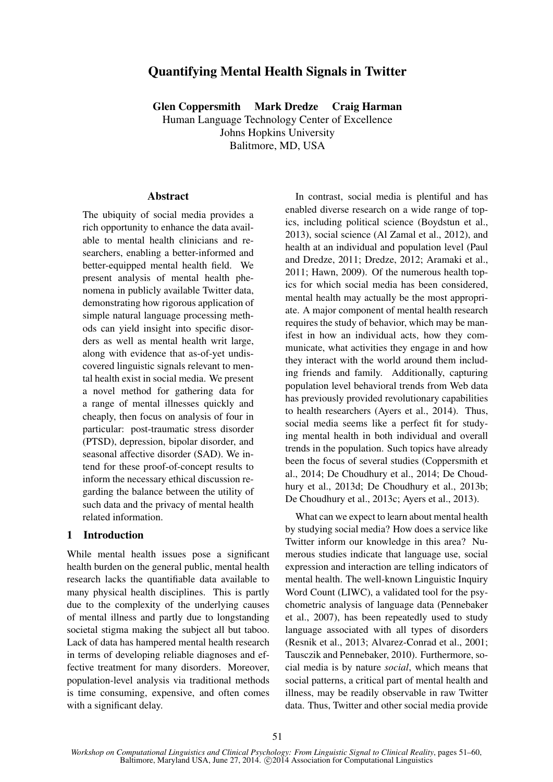# Quantifying Mental Health Signals in Twitter

Glen Coppersmith Mark Dredze Craig Harman

Human Language Technology Center of Excellence Johns Hopkins University Balitmore, MD, USA

#### **Abstract**

The ubiquity of social media provides a rich opportunity to enhance the data available to mental health clinicians and researchers, enabling a better-informed and better-equipped mental health field. We present analysis of mental health phenomena in publicly available Twitter data, demonstrating how rigorous application of simple natural language processing methods can yield insight into specific disorders as well as mental health writ large, along with evidence that as-of-yet undiscovered linguistic signals relevant to mental health exist in social media. We present a novel method for gathering data for a range of mental illnesses quickly and cheaply, then focus on analysis of four in particular: post-traumatic stress disorder (PTSD), depression, bipolar disorder, and seasonal affective disorder (SAD). We intend for these proof-of-concept results to inform the necessary ethical discussion regarding the balance between the utility of such data and the privacy of mental health related information.

## 1 Introduction

While mental health issues pose a significant health burden on the general public, mental health research lacks the quantifiable data available to many physical health disciplines. This is partly due to the complexity of the underlying causes of mental illness and partly due to longstanding societal stigma making the subject all but taboo. Lack of data has hampered mental health research in terms of developing reliable diagnoses and effective treatment for many disorders. Moreover, population-level analysis via traditional methods is time consuming, expensive, and often comes with a significant delay.

In contrast, social media is plentiful and has enabled diverse research on a wide range of topics, including political science (Boydstun et al., 2013), social science (Al Zamal et al., 2012), and health at an individual and population level (Paul and Dredze, 2011; Dredze, 2012; Aramaki et al., 2011; Hawn, 2009). Of the numerous health topics for which social media has been considered, mental health may actually be the most appropriate. A major component of mental health research requires the study of behavior, which may be manifest in how an individual acts, how they communicate, what activities they engage in and how they interact with the world around them including friends and family. Additionally, capturing population level behavioral trends from Web data has previously provided revolutionary capabilities to health researchers (Ayers et al., 2014). Thus, social media seems like a perfect fit for studying mental health in both individual and overall trends in the population. Such topics have already been the focus of several studies (Coppersmith et al., 2014; De Choudhury et al., 2014; De Choudhury et al., 2013d; De Choudhury et al., 2013b; De Choudhury et al., 2013c; Ayers et al., 2013).

What can we expect to learn about mental health by studying social media? How does a service like Twitter inform our knowledge in this area? Numerous studies indicate that language use, social expression and interaction are telling indicators of mental health. The well-known Linguistic Inquiry Word Count (LIWC), a validated tool for the psychometric analysis of language data (Pennebaker et al., 2007), has been repeatedly used to study language associated with all types of disorders (Resnik et al., 2013; Alvarez-Conrad et al., 2001; Tausczik and Pennebaker, 2010). Furthermore, social media is by nature *social*, which means that social patterns, a critical part of mental health and illness, may be readily observable in raw Twitter data. Thus, Twitter and other social media provide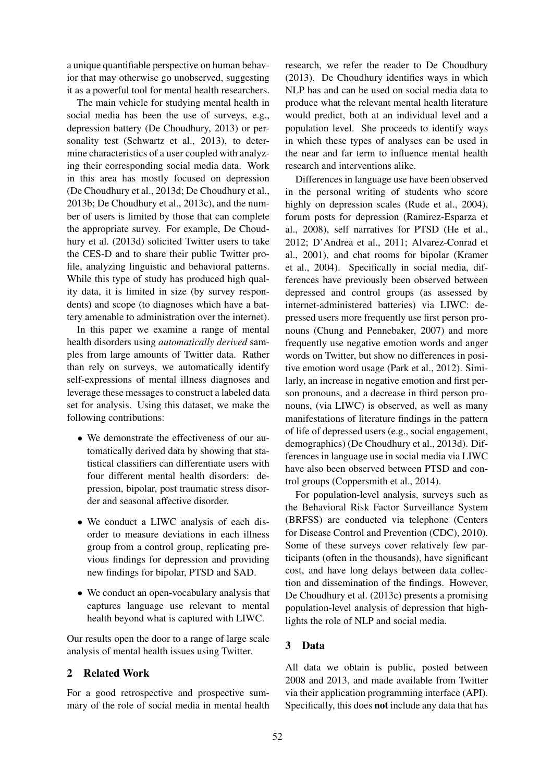a unique quantifiable perspective on human behavior that may otherwise go unobserved, suggesting it as a powerful tool for mental health researchers.

The main vehicle for studying mental health in social media has been the use of surveys, e.g., depression battery (De Choudhury, 2013) or personality test (Schwartz et al., 2013), to determine characteristics of a user coupled with analyzing their corresponding social media data. Work in this area has mostly focused on depression (De Choudhury et al., 2013d; De Choudhury et al., 2013b; De Choudhury et al., 2013c), and the number of users is limited by those that can complete the appropriate survey. For example, De Choudhury et al. (2013d) solicited Twitter users to take the CES-D and to share their public Twitter profile, analyzing linguistic and behavioral patterns. While this type of study has produced high quality data, it is limited in size (by survey respondents) and scope (to diagnoses which have a battery amenable to administration over the internet).

In this paper we examine a range of mental health disorders using *automatically derived* samples from large amounts of Twitter data. Rather than rely on surveys, we automatically identify self-expressions of mental illness diagnoses and leverage these messages to construct a labeled data set for analysis. Using this dataset, we make the following contributions:

- We demonstrate the effectiveness of our automatically derived data by showing that statistical classifiers can differentiate users with four different mental health disorders: depression, bipolar, post traumatic stress disorder and seasonal affective disorder.
- We conduct a LIWC analysis of each disorder to measure deviations in each illness group from a control group, replicating previous findings for depression and providing new findings for bipolar, PTSD and SAD.
- We conduct an open-vocabulary analysis that captures language use relevant to mental health beyond what is captured with LIWC.

Our results open the door to a range of large scale analysis of mental health issues using Twitter.

# 2 Related Work

For a good retrospective and prospective summary of the role of social media in mental health research, we refer the reader to De Choudhury (2013). De Choudhury identifies ways in which NLP has and can be used on social media data to produce what the relevant mental health literature would predict, both at an individual level and a population level. She proceeds to identify ways in which these types of analyses can be used in the near and far term to influence mental health research and interventions alike.

Differences in language use have been observed in the personal writing of students who score highly on depression scales (Rude et al., 2004), forum posts for depression (Ramirez-Esparza et al., 2008), self narratives for PTSD (He et al., 2012; D'Andrea et al., 2011; Alvarez-Conrad et al., 2001), and chat rooms for bipolar (Kramer et al., 2004). Specifically in social media, differences have previously been observed between depressed and control groups (as assessed by internet-administered batteries) via LIWC: depressed users more frequently use first person pronouns (Chung and Pennebaker, 2007) and more frequently use negative emotion words and anger words on Twitter, but show no differences in positive emotion word usage (Park et al., 2012). Similarly, an increase in negative emotion and first person pronouns, and a decrease in third person pronouns, (via LIWC) is observed, as well as many manifestations of literature findings in the pattern of life of depressed users (e.g., social engagement, demographics) (De Choudhury et al., 2013d). Differences in language use in social media via LIWC have also been observed between PTSD and control groups (Coppersmith et al., 2014).

For population-level analysis, surveys such as the Behavioral Risk Factor Surveillance System (BRFSS) are conducted via telephone (Centers for Disease Control and Prevention (CDC), 2010). Some of these surveys cover relatively few participants (often in the thousands), have significant cost, and have long delays between data collection and dissemination of the findings. However, De Choudhury et al. (2013c) presents a promising population-level analysis of depression that highlights the role of NLP and social media.

## 3 Data

All data we obtain is public, posted between 2008 and 2013, and made available from Twitter via their application programming interface (API). Specifically, this does not include any data that has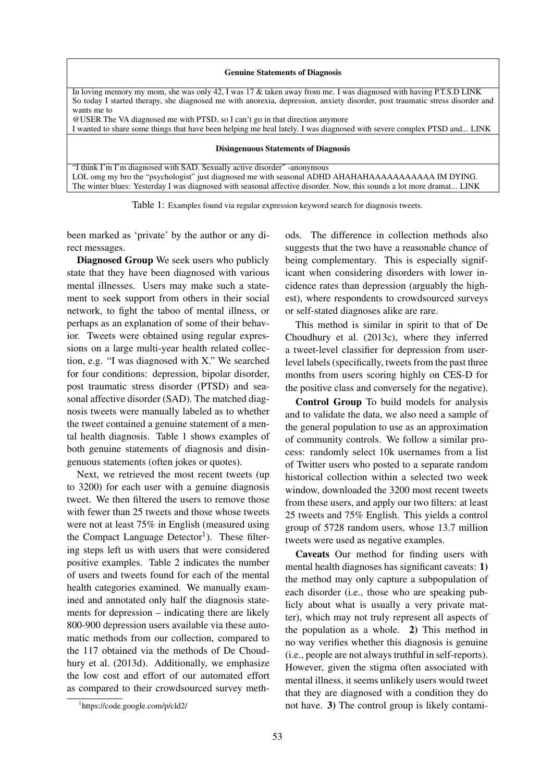| <b>Genuine Statements of Diagnosis</b>                                                                                                                                                                                      |  |  |
|-----------------------------------------------------------------------------------------------------------------------------------------------------------------------------------------------------------------------------|--|--|
| In loving memory my mom, she was only 42, I was $17 \&$ taken away from me. I was diagnosed with having P.T.S.D LINK                                                                                                        |  |  |
| So today I started therapy, she diagnosed me with anorexia, depression, anxiety disorder, post traumatic stress disorder and<br>wants me to                                                                                 |  |  |
| @USER The VA diagnosed me with PTSD, so I can't go in that direction anymore                                                                                                                                                |  |  |
| I wanted to share some things that have been helping me heal lately. I was diagnosed with severe complex PTSD and LINK                                                                                                      |  |  |
| <b>Disingenuous Statements of Diagnosis</b>                                                                                                                                                                                 |  |  |
| "I think I'm I'm diagnosed with SAD. Sexually active disorder" -anonymous                                                                                                                                                   |  |  |
| LOL omg my bro the "psychologist" just diagnosed me with seasonal ADHD AHAHAHAAAAAAAAAAA IM DYING.<br>The winter blues: Yesterday I was diagnosed with seasonal affective disorder. Now, this sounds a lot more dramat LINK |  |  |

Table 1: Examples found via regular expression keyword search for diagnosis tweets.

been marked as 'private' by the author or any direct messages.

Diagnosed Group We seek users who publicly state that they have been diagnosed with various mental illnesses. Users may make such a statement to seek support from others in their social network, to fight the taboo of mental illness, or perhaps as an explanation of some of their behavior. Tweets were obtained using regular expressions on a large multi-year health related collection, e.g. "I was diagnosed with X." We searched for four conditions: depression, bipolar disorder, post traumatic stress disorder (PTSD) and seasonal affective disorder (SAD). The matched diagnosis tweets were manually labeled as to whether the tweet contained a genuine statement of a mental health diagnosis. Table 1 shows examples of both genuine statements of diagnosis and disingenuous statements (often jokes or quotes).

Next, we retrieved the most recent tweets (up to 3200) for each user with a genuine diagnosis tweet. We then filtered the users to remove those with fewer than 25 tweets and those whose tweets were not at least 75% in English (measured using the Compact Language Detector<sup>1</sup>). These filtering steps left us with users that were considered positive examples. Table 2 indicates the number of users and tweets found for each of the mental health categories examined. We manually examined and annotated only half the diagnosis statements for depression – indicating there are likely 800-900 depression users available via these automatic methods from our collection, compared to the 117 obtained via the methods of De Choudhury et al. (2013d). Additionally, we emphasize the low cost and effort of our automated effort as compared to their crowdsourced survey methods. The difference in collection methods also suggests that the two have a reasonable chance of being complementary. This is especially significant when considering disorders with lower incidence rates than depression (arguably the highest), where respondents to crowdsourced surveys or self-stated diagnoses alike are rare.

This method is similar in spirit to that of De Choudhury et al. (2013c), where they inferred a tweet-level classifier for depression from userlevel labels (specifically, tweets from the past three months from users scoring highly on CES-D for the positive class and conversely for the negative).

Control Group To build models for analysis and to validate the data, we also need a sample of the general population to use as an approximation of community controls. We follow a similar process: randomly select 10k usernames from a list of Twitter users who posted to a separate random historical collection within a selected two week window, downloaded the 3200 most recent tweets from these users, and apply our two filters: at least 25 tweets and 75% English. This yields a control group of 5728 random users, whose 13.7 million tweets were used as negative examples.

Caveats Our method for finding users with mental health diagnoses has significant caveats: 1) the method may only capture a subpopulation of each disorder (i.e., those who are speaking publicly about what is usually a very private matter), which may not truly represent all aspects of the population as a whole. 2) This method in no way verifies whether this diagnosis is genuine (i.e., people are not always truthful in self-reports). However, given the stigma often associated with mental illness, it seems unlikely users would tweet that they are diagnosed with a condition they do not have. 3) The control group is likely contami-

<sup>1</sup> https://code.google.com/p/cld2/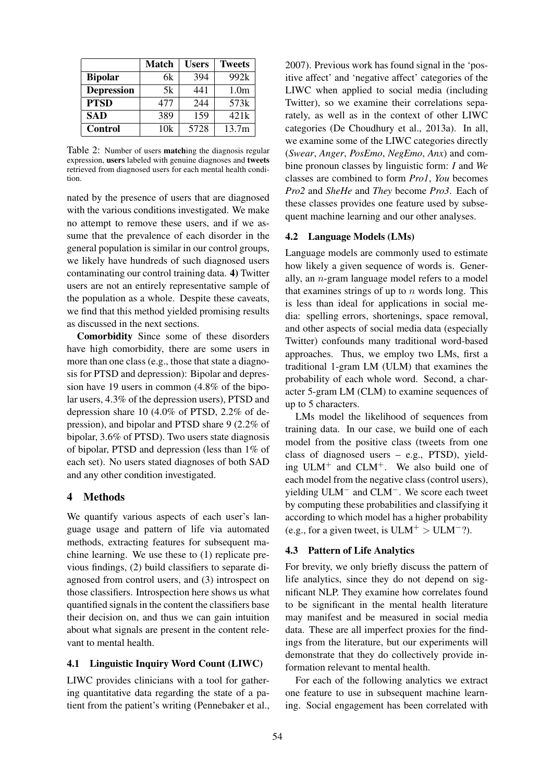|                   | <b>Match</b> | <b>Users</b> | <b>Tweets</b>    |
|-------------------|--------------|--------------|------------------|
| <b>Bipolar</b>    | 6k           | 394          | 992k             |
| <b>Depression</b> | 5k           | 441          | 1.0 <sub>m</sub> |
| <b>PTSD</b>       | 477          | 244          | 573k             |
| <b>SAD</b>        | 389          | 159          | 421k             |
| <b>Control</b>    | 10k          | 5728         | 13.7m            |

Table 2: Number of users matching the diagnosis regular expression, users labeled with genuine diagnoses and tweets retrieved from diagnosed users for each mental health condition.

nated by the presence of users that are diagnosed with the various conditions investigated. We make no attempt to remove these users, and if we assume that the prevalence of each disorder in the general population is similar in our control groups, we likely have hundreds of such diagnosed users contaminating our control training data. 4) Twitter users are not an entirely representative sample of the population as a whole. Despite these caveats, we find that this method yielded promising results as discussed in the next sections.

Comorbidity Since some of these disorders have high comorbidity, there are some users in more than one class (e.g., those that state a diagnosis for PTSD and depression): Bipolar and depression have 19 users in common (4.8% of the bipolar users, 4.3% of the depression users), PTSD and depression share 10 (4.0% of PTSD, 2.2% of depression), and bipolar and PTSD share 9 (2.2% of bipolar, 3.6% of PTSD). Two users state diagnosis of bipolar, PTSD and depression (less than 1% of each set). No users stated diagnoses of both SAD and any other condition investigated.

### 4 Methods

We quantify various aspects of each user's language usage and pattern of life via automated methods, extracting features for subsequent machine learning. We use these to (1) replicate previous findings, (2) build classifiers to separate diagnosed from control users, and (3) introspect on those classifiers. Introspection here shows us what quantified signals in the content the classifiers base their decision on, and thus we can gain intuition about what signals are present in the content relevant to mental health.

#### 4.1 Linguistic Inquiry Word Count (LIWC)

LIWC provides clinicians with a tool for gathering quantitative data regarding the state of a patient from the patient's writing (Pennebaker et al.,

2007). Previous work has found signal in the 'positive affect' and 'negative affect' categories of the LIWC when applied to social media (including Twitter), so we examine their correlations separately, as well as in the context of other LIWC categories (De Choudhury et al., 2013a). In all, we examine some of the LIWC categories directly (*Swear*, *Anger*, *PosEmo*, *NegEmo*, *Anx*) and combine pronoun classes by linguistic form: *I* and *We* classes are combined to form *Pro1*, *You* becomes *Pro2* and *SheHe* and *They* become *Pro3*. Each of these classes provides one feature used by subsequent machine learning and our other analyses.

#### 4.2 Language Models (LMs)

Language models are commonly used to estimate how likely a given sequence of words is. Generally, an n-gram language model refers to a model that examines strings of up to  $n$  words long. This is less than ideal for applications in social media: spelling errors, shortenings, space removal, and other aspects of social media data (especially Twitter) confounds many traditional word-based approaches. Thus, we employ two LMs, first a traditional 1-gram LM (ULM) that examines the probability of each whole word. Second, a character 5-gram LM (CLM) to examine sequences of up to 5 characters.

LMs model the likelihood of sequences from training data. In our case, we build one of each model from the positive class (tweets from one class of diagnosed users – e.g., PTSD), yielding ULM<sup>+</sup> and CLM<sup>+</sup>. We also build one of each model from the negative class (control users), yielding ULM− and CLM−. We score each tweet by computing these probabilities and classifying it according to which model has a higher probability (e.g., for a given tweet, is  $ULM^+ > ULM^-$ ?).

#### 4.3 Pattern of Life Analytics

For brevity, we only briefly discuss the pattern of life analytics, since they do not depend on significant NLP. They examine how correlates found to be significant in the mental health literature may manifest and be measured in social media data. These are all imperfect proxies for the findings from the literature, but our experiments will demonstrate that they do collectively provide information relevant to mental health.

For each of the following analytics we extract one feature to use in subsequent machine learning. Social engagement has been correlated with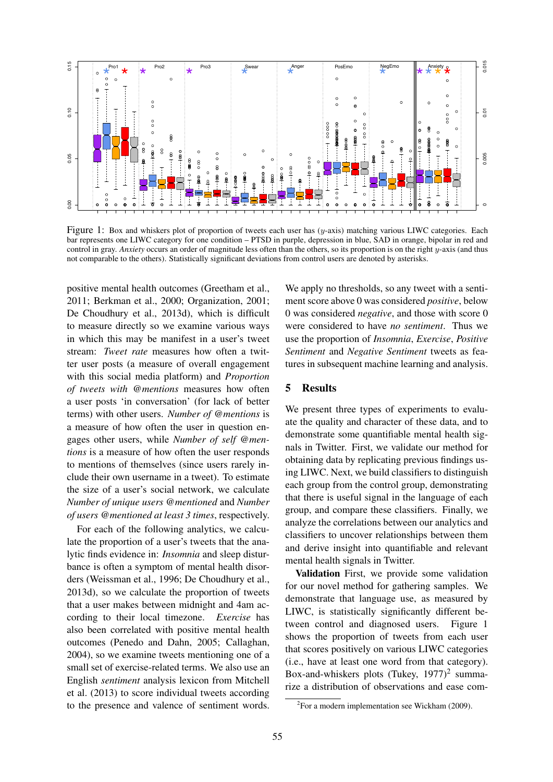

Figure 1: Box and whiskers plot of proportion of tweets each user has (y-axis) matching various LIWC categories. Each bar represents one LIWC category for one condition – PTSD in purple, depression in blue, SAD in orange, bipolar in red and control in gray. *Anxiety* occurs an order of magnitude less often than the others, so its proportion is on the right y-axis (and thus not comparable to the others). Statistically significant deviations from control users are denoted by asterisks.

positive mental health outcomes (Greetham et al., 2011; Berkman et al., 2000; Organization, 2001; De Choudhury et al., 2013d), which is difficult to measure directly so we examine various ways in which this may be manifest in a user's tweet stream: *Tweet rate* measures how often a twitter user posts (a measure of overall engagement with this social media platform) and *Proportion of tweets with @mentions* measures how often a user posts 'in conversation' (for lack of better terms) with other users. *Number of @mentions* is a measure of how often the user in question engages other users, while *Number of self @mentions* is a measure of how often the user responds to mentions of themselves (since users rarely include their own username in a tweet). To estimate the size of a user's social network, we calculate *Number of unique users @mentioned* and *Number of users @mentioned at least 3 times*, respectively.

For each of the following analytics, we calculate the proportion of a user's tweets that the analytic finds evidence in: *Insomnia* and sleep disturbance is often a symptom of mental health disorders (Weissman et al., 1996; De Choudhury et al., 2013d), so we calculate the proportion of tweets that a user makes between midnight and 4am according to their local timezone. *Exercise* has also been correlated with positive mental health outcomes (Penedo and Dahn, 2005; Callaghan, 2004), so we examine tweets mentioning one of a small set of exercise-related terms. We also use an English *sentiment* analysis lexicon from Mitchell et al. (2013) to score individual tweets according to the presence and valence of sentiment words.

We apply no thresholds, so any tweet with a sentiment score above 0 was considered *positive*, below 0 was considered *negative*, and those with score 0 were considered to have *no sentiment*. Thus we use the proportion of *Insomnia*, *Exercise*, *Positive Sentiment* and *Negative Sentiment* tweets as features in subsequent machine learning and analysis.

#### 5 Results

We present three types of experiments to evaluate the quality and character of these data, and to demonstrate some quantifiable mental health signals in Twitter. First, we validate our method for obtaining data by replicating previous findings using LIWC. Next, we build classifiers to distinguish each group from the control group, demonstrating that there is useful signal in the language of each group, and compare these classifiers. Finally, we analyze the correlations between our analytics and classifiers to uncover relationships between them and derive insight into quantifiable and relevant mental health signals in Twitter.

Validation First, we provide some validation for our novel method for gathering samples. We demonstrate that language use, as measured by LIWC, is statistically significantly different between control and diagnosed users. Figure 1 shows the proportion of tweets from each user that scores positively on various LIWC categories (i.e., have at least one word from that category). Box-and-whiskers plots (Tukey,  $1977$ )<sup>2</sup> summarize a distribution of observations and ease com-

 ${}^{2}$ For a modern implementation see Wickham (2009).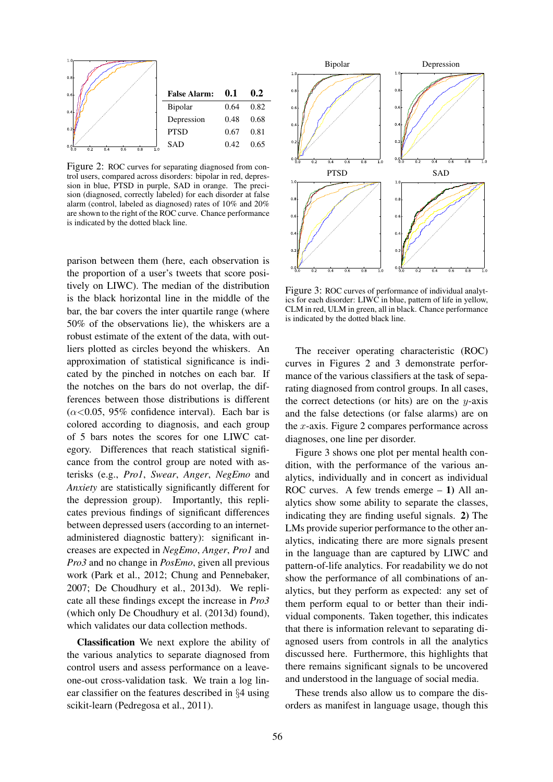

Figure 2: ROC curves for separating diagnosed from control users, compared across disorders: bipolar in red, depression in blue, PTSD in purple, SAD in orange. The precision (diagnosed, correctly labeled) for each disorder at false alarm (control, labeled as diagnosed) rates of 10% and 20% are shown to the right of the ROC curve. Chance performance is indicated by the dotted black line.

parison between them (here, each observation is the proportion of a user's tweets that score positively on LIWC). The median of the distribution is the black horizontal line in the middle of the bar, the bar covers the inter quartile range (where 50% of the observations lie), the whiskers are a robust estimate of the extent of the data, with outliers plotted as circles beyond the whiskers. An approximation of statistical significance is indicated by the pinched in notches on each bar. If the notches on the bars do not overlap, the differences between those distributions is different  $(\alpha \le 0.05, 95\%$  confidence interval). Each bar is colored according to diagnosis, and each group of 5 bars notes the scores for one LIWC category. Differences that reach statistical significance from the control group are noted with asterisks (e.g., *Pro1*, *Swear*, *Anger*, *NegEmo* and *Anxiety* are statistically significantly different for the depression group). Importantly, this replicates previous findings of significant differences between depressed users (according to an internetadministered diagnostic battery): significant increases are expected in *NegEmo*, *Anger*, *Pro1* and *Pro3* and no change in *PosEmo*, given all previous work (Park et al., 2012; Chung and Pennebaker, 2007; De Choudhury et al., 2013d). We replicate all these findings except the increase in *Pro3* (which only De Choudhury et al. (2013d) found), which validates our data collection methods.

Classification We next explore the ability of the various analytics to separate diagnosed from control users and assess performance on a leaveone-out cross-validation task. We train a log linear classifier on the features described in §4 using scikit-learn (Pedregosa et al., 2011).



Figure 3: ROC curves of performance of individual analytics for each disorder: LIWC in blue, pattern of life in yellow, CLM in red, ULM in green, all in black. Chance performance is indicated by the dotted black line.

The receiver operating characteristic (ROC) curves in Figures 2 and 3 demonstrate performance of the various classifiers at the task of separating diagnosed from control groups. In all cases, the correct detections (or hits) are on the  $y$ -axis and the false detections (or false alarms) are on the x-axis. Figure 2 compares performance across diagnoses, one line per disorder.

Figure 3 shows one plot per mental health condition, with the performance of the various analytics, individually and in concert as individual ROC curves. A few trends emerge  $-1$ ) All analytics show some ability to separate the classes, indicating they are finding useful signals. 2) The LMs provide superior performance to the other analytics, indicating there are more signals present in the language than are captured by LIWC and pattern-of-life analytics. For readability we do not show the performance of all combinations of analytics, but they perform as expected: any set of them perform equal to or better than their individual components. Taken together, this indicates that there is information relevant to separating diagnosed users from controls in all the analytics discussed here. Furthermore, this highlights that there remains significant signals to be uncovered and understood in the language of social media.

These trends also allow us to compare the disorders as manifest in language usage, though this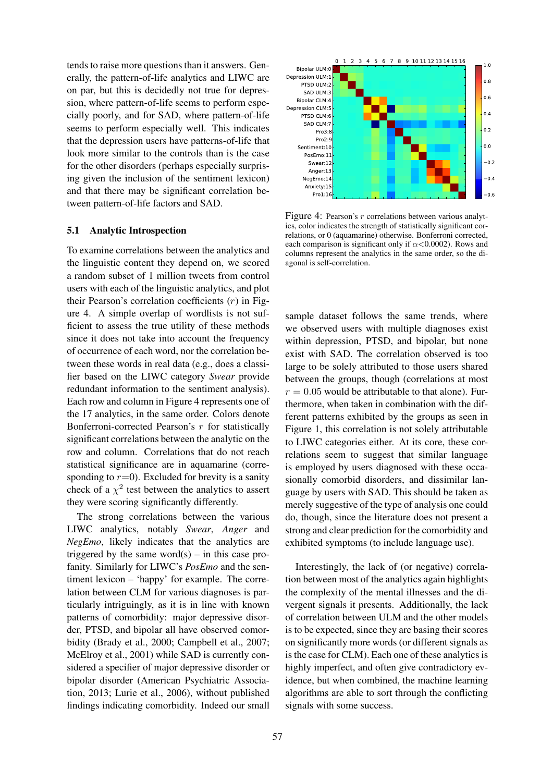tends to raise more questions than it answers. Generally, the pattern-of-life analytics and LIWC are on par, but this is decidedly not true for depression, where pattern-of-life seems to perform especially poorly, and for SAD, where pattern-of-life seems to perform especially well. This indicates that the depression users have patterns-of-life that look more similar to the controls than is the case for the other disorders (perhaps especially surprising given the inclusion of the sentiment lexicon) and that there may be significant correlation between pattern-of-life factors and SAD.

#### 5.1 Analytic Introspection

To examine correlations between the analytics and the linguistic content they depend on, we scored a random subset of 1 million tweets from control users with each of the linguistic analytics, and plot their Pearson's correlation coefficients  $(r)$  in Figure 4. A simple overlap of wordlists is not sufficient to assess the true utility of these methods since it does not take into account the frequency of occurrence of each word, nor the correlation between these words in real data (e.g., does a classifier based on the LIWC category *Swear* provide redundant information to the sentiment analysis). Each row and column in Figure 4 represents one of the 17 analytics, in the same order. Colors denote Bonferroni-corrected Pearson's  $r$  for statistically significant correlations between the analytic on the row and column. Correlations that do not reach statistical significance are in aquamarine (corresponding to  $r=0$ ). Excluded for brevity is a sanity check of a  $\chi^2$  test between the analytics to assert they were scoring significantly differently.

The strong correlations between the various LIWC analytics, notably *Swear*, *Anger* and *NegEmo*, likely indicates that the analytics are triggered by the same word $(s)$  – in this case profanity. Similarly for LIWC's *PosEmo* and the sentiment lexicon – 'happy' for example. The correlation between CLM for various diagnoses is particularly intriguingly, as it is in line with known patterns of comorbidity: major depressive disorder, PTSD, and bipolar all have observed comorbidity (Brady et al., 2000; Campbell et al., 2007; McElroy et al., 2001) while SAD is currently considered a specifier of major depressive disorder or bipolar disorder (American Psychiatric Association, 2013; Lurie et al., 2006), without published findings indicating comorbidity. Indeed our small



Figure 4: Pearson's r correlations between various analytics, color indicates the strength of statistically significant correlations, or 0 (aquamarine) otherwise. Bonferroni corrected, each comparison is significant only if  $\alpha$ <0.0002). Rows and columns represent the analytics in the same order, so the diagonal is self-correlation.

sample dataset follows the same trends, where we observed users with multiple diagnoses exist within depression, PTSD, and bipolar, but none exist with SAD. The correlation observed is too large to be solely attributed to those users shared between the groups, though (correlations at most  $r = 0.05$  would be attributable to that alone). Furthermore, when taken in combination with the different patterns exhibited by the groups as seen in Figure 1, this correlation is not solely attributable to LIWC categories either. At its core, these correlations seem to suggest that similar language is employed by users diagnosed with these occasionally comorbid disorders, and dissimilar language by users with SAD. This should be taken as merely suggestive of the type of analysis one could do, though, since the literature does not present a strong and clear prediction for the comorbidity and exhibited symptoms (to include language use).

Interestingly, the lack of (or negative) correlation between most of the analytics again highlights the complexity of the mental illnesses and the divergent signals it presents. Additionally, the lack of correlation between ULM and the other models is to be expected, since they are basing their scores on significantly more words (or different signals as is the case for CLM). Each one of these analytics is highly imperfect, and often give contradictory evidence, but when combined, the machine learning algorithms are able to sort through the conflicting signals with some success.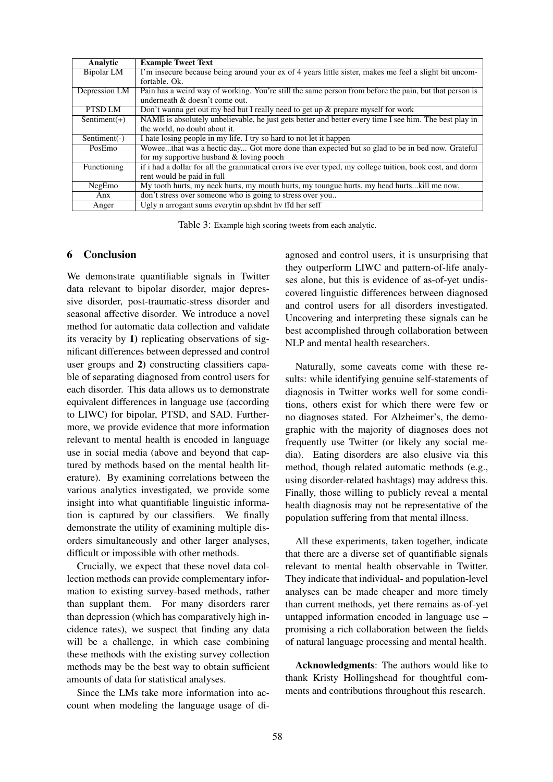| Analytic        | <b>Example Tweet Text</b>                                                                                |
|-----------------|----------------------------------------------------------------------------------------------------------|
| Bipolar LM      | I'm insecure because being around your ex of 4 years little sister, makes me feel a slight bit uncom-    |
|                 | fortable. Ok.                                                                                            |
| Depression LM   | Pain has a weird way of working. You're still the same person from before the pain, but that person is   |
|                 | underneath & doesn't come out.                                                                           |
| PTSD LM         | Don't wanna get out my bed but I really need to get up $\&$ prepare myself for work                      |
| Sentiment(+)    | NAME is absolutely unbelievable, he just gets better and better every time I see him. The best play in   |
|                 | the world, no doubt about it.                                                                            |
| Sentiment $(-)$ | I hate losing people in my life. I try so hard to not let it happen                                      |
| PosEmo          | Woweethat was a hectic day Got more done than expected but so glad to be in bed now. Grateful            |
|                 | for my supportive husband & loving pooch                                                                 |
| Functioning     | if i had a dollar for all the grammatical errors ive ever typed, my college tuition, book cost, and dorm |
|                 | rent would be paid in full                                                                               |
| NegEmo          | My tooth hurts, my neck hurts, my mouth hurts, my toungue hurts, my head hurtskill me now.               |
| Anx             | don't stress over someone who is going to stress over you                                                |
| Anger           | Ugly n arrogant sums everytin up. shdnt hy ffd her seff                                                  |

Table 3: Example high scoring tweets from each analytic.

### 6 Conclusion

We demonstrate quantifiable signals in Twitter data relevant to bipolar disorder, major depressive disorder, post-traumatic-stress disorder and seasonal affective disorder. We introduce a novel method for automatic data collection and validate its veracity by 1) replicating observations of significant differences between depressed and control user groups and 2) constructing classifiers capable of separating diagnosed from control users for each disorder. This data allows us to demonstrate equivalent differences in language use (according to LIWC) for bipolar, PTSD, and SAD. Furthermore, we provide evidence that more information relevant to mental health is encoded in language use in social media (above and beyond that captured by methods based on the mental health literature). By examining correlations between the various analytics investigated, we provide some insight into what quantifiable linguistic information is captured by our classifiers. We finally demonstrate the utility of examining multiple disorders simultaneously and other larger analyses, difficult or impossible with other methods.

Crucially, we expect that these novel data collection methods can provide complementary information to existing survey-based methods, rather than supplant them. For many disorders rarer than depression (which has comparatively high incidence rates), we suspect that finding any data will be a challenge, in which case combining these methods with the existing survey collection methods may be the best way to obtain sufficient amounts of data for statistical analyses.

Since the LMs take more information into account when modeling the language usage of diagnosed and control users, it is unsurprising that they outperform LIWC and pattern-of-life analyses alone, but this is evidence of as-of-yet undiscovered linguistic differences between diagnosed and control users for all disorders investigated. Uncovering and interpreting these signals can be best accomplished through collaboration between NLP and mental health researchers.

Naturally, some caveats come with these results: while identifying genuine self-statements of diagnosis in Twitter works well for some conditions, others exist for which there were few or no diagnoses stated. For Alzheimer's, the demographic with the majority of diagnoses does not frequently use Twitter (or likely any social media). Eating disorders are also elusive via this method, though related automatic methods (e.g., using disorder-related hashtags) may address this. Finally, those willing to publicly reveal a mental health diagnosis may not be representative of the population suffering from that mental illness.

All these experiments, taken together, indicate that there are a diverse set of quantifiable signals relevant to mental health observable in Twitter. They indicate that individual- and population-level analyses can be made cheaper and more timely than current methods, yet there remains as-of-yet untapped information encoded in language use – promising a rich collaboration between the fields of natural language processing and mental health.

Acknowledgments: The authors would like to thank Kristy Hollingshead for thoughtful comments and contributions throughout this research.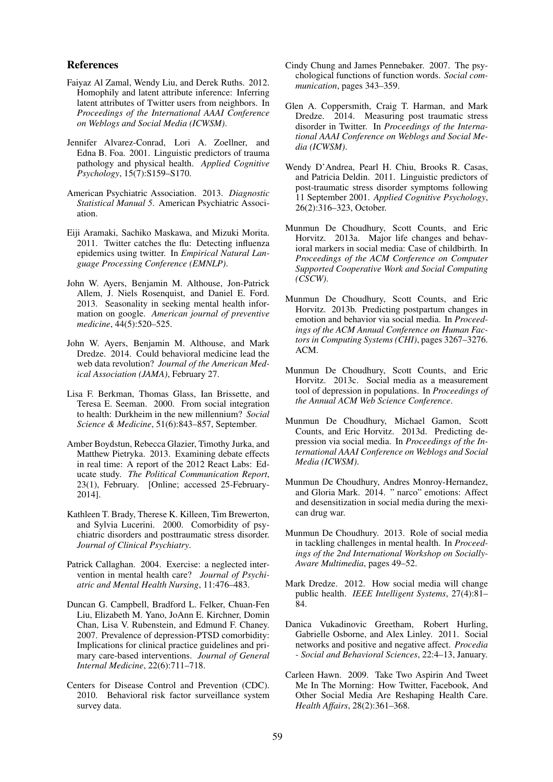#### References

- Faiyaz Al Zamal, Wendy Liu, and Derek Ruths. 2012. Homophily and latent attribute inference: Inferring latent attributes of Twitter users from neighbors. In *Proceedings of the International AAAI Conference on Weblogs and Social Media (ICWSM)*.
- Jennifer Alvarez-Conrad, Lori A. Zoellner, and Edna B. Foa. 2001. Linguistic predictors of trauma pathology and physical health. *Applied Cognitive Psychology*, 15(7):S159–S170.
- American Psychiatric Association. 2013. *Diagnostic Statistical Manual 5*. American Psychiatric Association.
- Eiji Aramaki, Sachiko Maskawa, and Mizuki Morita. 2011. Twitter catches the flu: Detecting influenza epidemics using twitter. In *Empirical Natural Language Processing Conference (EMNLP)*.
- John W. Ayers, Benjamin M. Althouse, Jon-Patrick Allem, J. Niels Rosenquist, and Daniel E. Ford. 2013. Seasonality in seeking mental health information on google. *American journal of preventive medicine*, 44(5):520–525.
- John W. Ayers, Benjamin M. Althouse, and Mark Dredze. 2014. Could behavioral medicine lead the web data revolution? *Journal of the American Medical Association (JAMA)*, February 27.
- Lisa F. Berkman, Thomas Glass, Ian Brissette, and Teresa E. Seeman. 2000. From social integration to health: Durkheim in the new millennium? *Social Science & Medicine*, 51(6):843–857, September.
- Amber Boydstun, Rebecca Glazier, Timothy Jurka, and Matthew Pietryka. 2013. Examining debate effects in real time: A report of the 2012 React Labs: Educate study. *The Political Communication Report*, 23(1), February. [Online; accessed 25-February-2014].
- Kathleen T. Brady, Therese K. Killeen, Tim Brewerton, and Sylvia Lucerini. 2000. Comorbidity of psychiatric disorders and posttraumatic stress disorder. *Journal of Clinical Psychiatry*.
- Patrick Callaghan. 2004. Exercise: a neglected intervention in mental health care? *Journal of Psychiatric and Mental Health Nursing*, 11:476–483.
- Duncan G. Campbell, Bradford L. Felker, Chuan-Fen Liu, Elizabeth M. Yano, JoAnn E. Kirchner, Domin Chan, Lisa V. Rubenstein, and Edmund F. Chaney. 2007. Prevalence of depression-PTSD comorbidity: Implications for clinical practice guidelines and primary care-based interventions. *Journal of General Internal Medicine*, 22(6):711–718.
- Centers for Disease Control and Prevention (CDC). 2010. Behavioral risk factor surveillance system survey data.
- Cindy Chung and James Pennebaker. 2007. The psychological functions of function words. *Social communication*, pages 343–359.
- Glen A. Coppersmith, Craig T. Harman, and Mark Dredze. 2014. Measuring post traumatic stress disorder in Twitter. In *Proceedings of the International AAAI Conference on Weblogs and Social Media (ICWSM)*.
- Wendy D'Andrea, Pearl H. Chiu, Brooks R. Casas, and Patricia Deldin. 2011. Linguistic predictors of post-traumatic stress disorder symptoms following 11 September 2001. *Applied Cognitive Psychology*, 26(2):316–323, October.
- Munmun De Choudhury, Scott Counts, and Eric Horvitz. 2013a. Major life changes and behavioral markers in social media: Case of childbirth. In *Proceedings of the ACM Conference on Computer Supported Cooperative Work and Social Computing (CSCW)*.
- Munmun De Choudhury, Scott Counts, and Eric Horvitz. 2013b. Predicting postpartum changes in emotion and behavior via social media. In *Proceedings of the ACM Annual Conference on Human Factors in Computing Systems (CHI)*, pages 3267–3276. ACM.
- Munmun De Choudhury, Scott Counts, and Eric Horvitz. 2013c. Social media as a measurement tool of depression in populations. In *Proceedings of the Annual ACM Web Science Conference*.
- Munmun De Choudhury, Michael Gamon, Scott Counts, and Eric Horvitz. 2013d. Predicting depression via social media. In *Proceedings of the International AAAI Conference on Weblogs and Social Media (ICWSM)*.
- Munmun De Choudhury, Andres Monroy-Hernandez, and Gloria Mark. 2014. " narco" emotions: Affect and desensitization in social media during the mexican drug war.
- Munmun De Choudhury. 2013. Role of social media in tackling challenges in mental health. In *Proceedings of the 2nd International Workshop on Socially-Aware Multimedia*, pages 49–52.
- Mark Dredze. 2012. How social media will change public health. *IEEE Intelligent Systems*, 27(4):81– 84.
- Danica Vukadinovic Greetham, Robert Hurling, Gabrielle Osborne, and Alex Linley. 2011. Social networks and positive and negative affect. *Procedia - Social and Behavioral Sciences*, 22:4–13, January.
- Carleen Hawn. 2009. Take Two Aspirin And Tweet Me In The Morning: How Twitter, Facebook, And Other Social Media Are Reshaping Health Care. *Health Affairs*, 28(2):361–368.